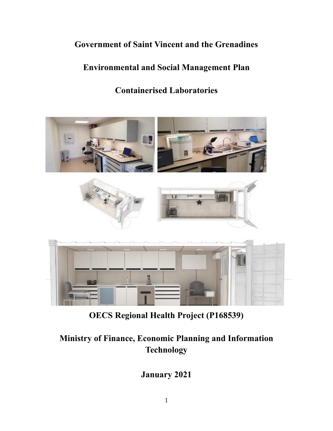## **Government of Saint Vincent and the Grenadines**

## **Environmental and Social Management Plan**

## **Containerised Laboratories**



**OECS Regional Health Project (P168539)**

# **Ministry of Finance, Economic Planning and Information Technology**

**January 2021**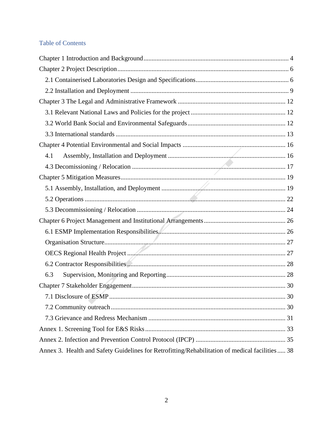## Table of Contents

| 4.1                                                                                             |  |
|-------------------------------------------------------------------------------------------------|--|
|                                                                                                 |  |
|                                                                                                 |  |
|                                                                                                 |  |
|                                                                                                 |  |
|                                                                                                 |  |
|                                                                                                 |  |
|                                                                                                 |  |
|                                                                                                 |  |
|                                                                                                 |  |
|                                                                                                 |  |
| 6.3                                                                                             |  |
|                                                                                                 |  |
|                                                                                                 |  |
|                                                                                                 |  |
|                                                                                                 |  |
|                                                                                                 |  |
|                                                                                                 |  |
| Annex 3. Health and Safety Guidelines for Retrofitting/Rehabilitation of medical facilities  38 |  |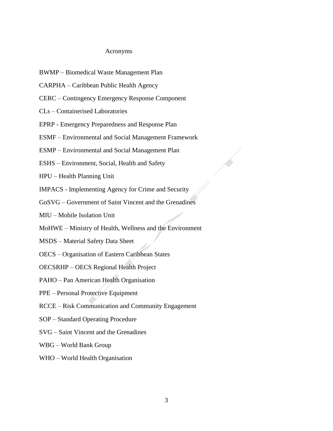#### Acronyms

- BWMP Biomedical Waste Management Plan
- CARPHA Caribbean Public Health Agency
- CERC Contingency Emergency Response Component
- CLs Containerised Laboratories
- EPRP Emergency Preparedness and Response Plan
- ESMF Environmental and Social Management Framework
- ESMP Environmental and Social Management Plan
- ESHS Environment, Social, Health and Safety
- HPU Health Planning Unit
- IMPACS Implementing Agency for Crime and Security
- GoSVG Government of Saint Vincent and the Grenadines
- MIU Mobile Isolation Unit
- MoHWE Ministry of Health, Wellness and the Environment
- MSDS Material Safety Data Sheet
- OECS Organisation of Eastern Caribbean States
- OECSRHP OECS Regional Health Project
- PAHO Pan American Health Organisation
- PPE Personal Protective Equipment
- RCCE Risk Communication and Community Engagement
- SOP Standard Operating Procedure
- SVG Saint Vincent and the Grenadines
- WBG World Bank Group
- WHO World Health Organisation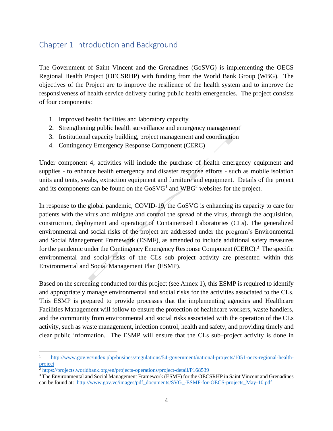## <span id="page-3-0"></span>Chapter 1 Introduction and Background

The Government of Saint Vincent and the Grenadines (GoSVG) is implementing the OECS Regional Health Project (OECSRHP) with funding from the World Bank Group (WBG). The objectives of the Project are to improve the resilience of the health system and to improve the responsiveness of health service delivery during public health emergencies. The project consists of four components:

- 1. Improved health facilities and laboratory capacity
- 2. Strengthening public health surveillance and emergency management
- 3. Institutional capacity building, project management and coordination
- 4. Contingency Emergency Response Component (CERC)

Under component 4, activities will include the purchase of health emergency equipment and supplies - to enhance health emergency and disaster response efforts - such as mobile isolation units and tents, swabs, extraction equipment and furniture and equipment. Details of the project and its components can be found on the  $GoSVG<sup>1</sup>$  and  $WBG<sup>2</sup>$  websites for the project.

In response to the global pandemic, COVID-19, the GoSVG is enhancing its capacity to care for patients with the virus and mitigate and control the spread of the virus, through the acquisition, construction, deployment and operation of Containerised Laboratories (CLs). The generalized environmental and social risks of the project are addressed under the program's Environmental and Social Management Framework (ESMF), as amended to include additional safety measures for the pandemic under the Contingency Emergency Response Component (CERC).<sup>3</sup> The specific environmental and social risks of the CLs sub–project activity are presented within this Environmental and Social Management Plan (ESMP).

Based on the screening conducted for this project (see Annex 1), this ESMP is required to identify and appropriately manage environmental and social risks for the activities associated to the CLs. This ESMP is prepared to provide processes that the implementing agencies and Healthcare Facilities Management will follow to ensure the protection of healthcare workers, waste handlers, and the community from environmental and social risks associated with the operation of the CLs activity, such as waste management, infection control, health and safety, and providing timely and clear public information. The ESMP will ensure that the CLs sub–project activity is done in

<sup>1</sup> [http://www.gov.vc/index.php/business/regulations/54-government/national-projects/1051-oecs-regional-health](http://www.gov.vc/index.php/business/regulations/54-government/national-projects/1051-oecs-regional-health-project)[project](http://www.gov.vc/index.php/business/regulations/54-government/national-projects/1051-oecs-regional-health-project)

 $^2$  <https://projects.worldbank.org/en/projects-operations/project-detail/P168539>

<sup>&</sup>lt;sup>3</sup> The Environmental and Social Management Framework (ESMF) for the OECSRHP in Saint Vincent and Grenadines can be found at: [http://www.gov.vc/images/pdf\\_documents/SVG\\_-ESMF-for-OECS-projects\\_May-10.pdf](http://www.gov.vc/images/pdf_documents/SVG_-ESMF-for-OECS-projects_May-10.pdf)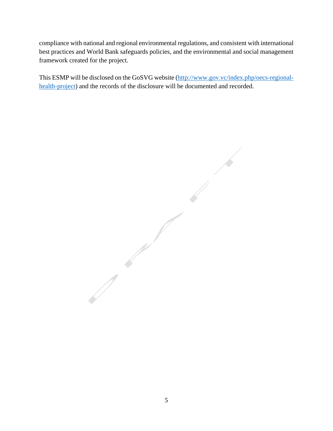compliance with national and regional environmental regulations, and consistent with international best practices and World Bank safeguards policies, and the environmental and social management framework created for the project.

This ESMP will be disclosed on the GoSVG website [\(http://www.gov.vc/index.php/oecs-regional](http://www.gov.vc/index.php/oecs-regional-health-project)[health-project\)](http://www.gov.vc/index.php/oecs-regional-health-project) and the records of the disclosure will be documented and recorded.

 $\sqrt{2}$  $\sqrt{2}$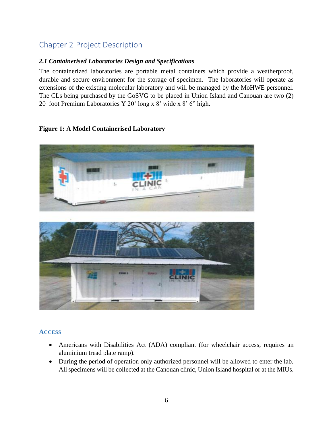## <span id="page-5-0"></span>Chapter 2 Project Description

#### <span id="page-5-1"></span>*2.1 Containerised Laboratories Design and Specifications*

The containerized laboratories are portable metal containers which provide a weatherproof, durable and secure environment for the storage of specimen. The laboratories will operate as extensions of the existing molecular laboratory and will be managed by the MoHWE personnel. The CLs being purchased by the GoSVG to be placed in Union Island and Canouan are two (2) 20–foot Premium Laboratories Y 20' long x 8' wide x 8' 6" high.

#### **Figure 1: A Model Containerised Laboratory**



#### **ACCESS**

- Americans with Disabilities Act (ADA) compliant (for wheelchair access, requires an aluminium tread plate ramp).
- During the period of operation only authorized personnel will be allowed to enter the lab. All specimens will be collected at the Canouan clinic, Union Island hospital or at the MIUs.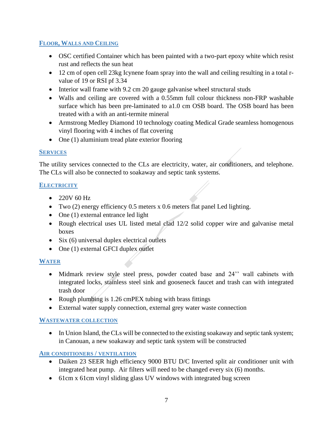#### **FLOOR, WALLS AND CEILING**

- OSC certified Container which has been painted with a two-part epoxy white which resist rust and reflects the sun heat
- 12 cm of open cell 23kg Icynene foam spray into the wall and ceiling resulting in a total rvalue of 19 or RSI pf 3.34
- Interior wall frame with 9.2 cm 20 gauge galvanise wheel structural studs
- Walls and ceiling are covered with a 0.55mm full colour thickness non-FRP washable surface which has been pre-laminated to a1.0 cm OSB board. The OSB board has been treated with a with an anti-termite mineral
- Armstrong Medley Diamond 10 technology coating Medical Grade seamless homogenous vinyl flooring with 4 inches of flat covering
- One (1) aluminium tread plate exterior flooring

#### **SERVICES**

The utility services connected to the CLs are electricity, water, air conditioners, and telephone. The CLs will also be connected to soakaway and septic tank systems.

#### **ELECTRICITY**

- 220V 60 Hz
- Two (2) energy efficiency 0.5 meters x 0.6 meters flat panel Led lighting.
- One (1) external entrance led light
- Rough electrical uses UL listed metal clad 12/2 solid copper wire and galvanise metal boxes
- Six (6) universal duplex electrical outlets
- One (1) external GFCI duplex outlet

#### **WATER**

- Midmark review style steel press, powder coated base and 24" wall cabinets with integrated locks, stainless steel sink and gooseneck faucet and trash can with integrated trash door
- Rough plumbing is 1.26 cmPEX tubing with brass fittings
- External water supply connection, external grey water waste connection

#### **WASTEWATER COLLECTION**

• In Union Island, the CLs will be connected to the existing soakaway and septic tank system; in Canouan, a new soakaway and septic tank system will be constructed

#### **AIR CONDITIONERS / VENTILATION**

- Daiken 23 SEER high efficiency 9000 BTU D/C Inverted split air conditioner unit with integrated heat pump. Air filters will need to be changed every six (6) months.
- 61cm x 61cm vinyl sliding glass UV windows with integrated bug screen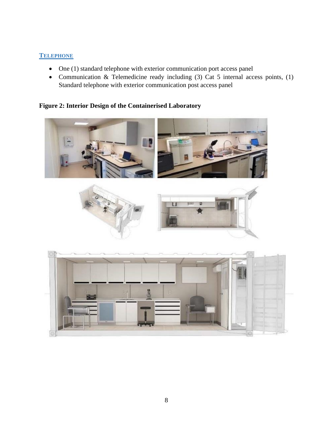#### **TELEPHONE**

- One (1) standard telephone with exterior communication port access panel
- Communication & Telemedicine ready including (3) Cat 5 internal access points, (1) Standard telephone with exterior communication post access panel

#### **Figure 2: Interior Design of the Containerised Laboratory**







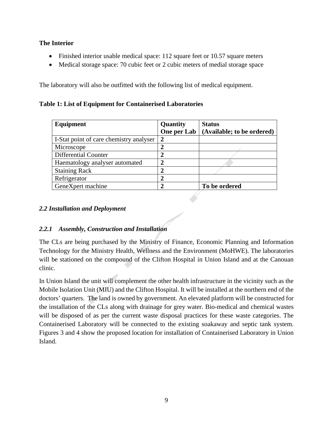#### **The Interior**

- Finished interior usable medical space: 112 square feet or 10.57 square meters
- Medical storage space: 70 cubic feet or 2 cubic meters of medial storage space

The laboratory will also be outfitted with the following list of medical equipment.

**Table 1: List of Equipment for Containerised Laboratories** 

| Equipment                               | Quantity       | <b>Status</b>              |
|-----------------------------------------|----------------|----------------------------|
|                                         | One per Lab    | (Available; to be ordered) |
| I-Stat point of care chemistry analyser | $\overline{2}$ |                            |
| Microscope                              | $\overline{2}$ |                            |
| <b>Differential Counter</b>             | $\mathbf{2}$   |                            |
| Haematology analyser automated          | $\overline{2}$ |                            |
| <b>Staining Rack</b>                    | $\overline{2}$ |                            |
| Refrigerator                            | $\overline{2}$ |                            |
| GeneXpert machine                       | 2              | To be ordered              |

#### <span id="page-8-0"></span>*2.2 Installation and Deployment*

#### *2.2.1 Assembly, Construction and Installation*

The CLs are being purchased by the Ministry of Finance, Economic Planning and Information Technology for the Ministry Health, Wellness and the Environment (MoHWE). The laboratories will be stationed on the compound of the Clifton Hospital in Union Island and at the Canouan clinic.

In Union Island the unit will complement the other health infrastructure in the vicinity such as the Mobile Isolation Unit (MIU) and the Clifton Hospital. It will be installed at the northern end of the doctors' quarters. The land is owned by government. An elevated platform will be constructed for the installation of the CLs along with drainage for grey water. Bio-medical and chemical wastes will be disposed of as per the current waste disposal practices for these waste categories. The Containerised Laboratory will be connected to the existing soakaway and septic tank system. Figures 3 and 4 show the proposed location for installation of Containerised Laboratory in Union Island.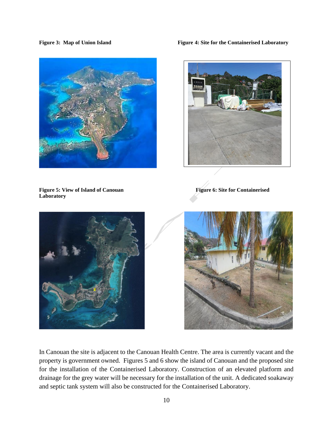

**Figure 3: Map of Union Island Figure 4: Site for the Containerised Laboratory** 



**Laboratory**

Figure 5: View of Island of Canouan Figure 6: Site for Containerised





In Canouan the site is adjacent to the Canouan Health Centre. The area is currently vacant and the property is government owned. Figures 5 and 6 show the island of Canouan and the proposed site for the installation of the Containerised Laboratory. Construction of an elevated platform and drainage for the grey water will be necessary for the installation of the unit. A dedicated soakaway and septic tank system will also be constructed for the Containerised Laboratory.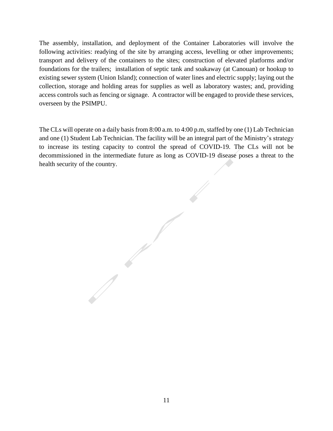The assembly, installation, and deployment of the Container Laboratories will involve the following activities: readying of the site by arranging access, levelling or other improvements; transport and delivery of the containers to the sites; construction of elevated platforms and/or foundations for the trailers; installation of septic tank and soakaway (at Canouan) or hookup to existing sewer system (Union Island); connection of water lines and electric supply; laying out the collection, storage and holding areas for supplies as well as laboratory wastes; and, providing access controls such as fencing or signage. A contractor will be engaged to provide these services, overseen by the PSIMPU.

The CLs will operate on a daily basis from 8:00 a.m. to 4:00 p.m, staffed by one (1) Lab Technician and one (1) Student Lab Technician. The facility will be an integral part of the Ministry's strategy to increase its testing capacity to control the spread of COVID-19. The CLs will not be decommissioned in the intermediate future as long as COVID-19 disease poses a threat to the health security of the country.

11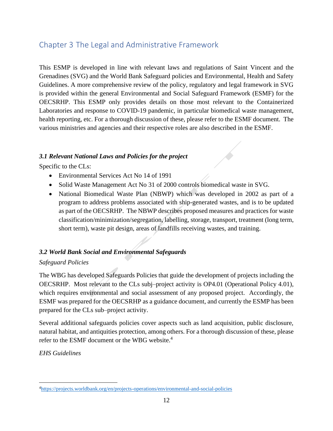## <span id="page-11-0"></span>Chapter 3 The Legal and Administrative Framework

This ESMP is developed in line with relevant laws and regulations of Saint Vincent and the Grenadines (SVG) and the World Bank Safeguard policies and Environmental, Health and Safety Guidelines. A more comprehensive review of the policy, regulatory and legal framework in SVG is provided within the general Environmental and Social Safeguard Framework (ESMF) for the OECSRHP. This ESMP only provides details on those most relevant to the Containerized Laboratories and response to COVID-19 pandemic, in particular biomedical waste management, health reporting, etc. For a thorough discussion of these, please refer to the ESMF document. The various ministries and agencies and their respective roles are also described in the ESMF.

#### <span id="page-11-1"></span>*3.1 Relevant National Laws and Policies for the project*

Specific to the CLs:

- Environmental Services Act No 14 of 1991
- Solid Waste Management Act No 31 of 2000 controls biomedical waste in SVG.
- National Biomedical Waste Plan (NBWP) which was developed in 2002 as part of a program to address problems associated with ship-generated wastes, and is to be updated as part of the OECSRHP. The NBWP describes proposed measures and practices for waste classification/minimization/segregation, labelling, storage, transport, treatment (long term, short term), waste pit design, areas of landfills receiving wastes, and training.

#### <span id="page-11-2"></span>*3.2 World Bank Social and Environmental Safeguards*

#### *Safeguard Policies*

The WBG has developed Safeguards Policies that guide the development of projects including the OECSRHP. Most relevant to the CLs subj–project activity is OP4.01 (Operational Policy 4.01), which requires environmental and social assessment of any proposed project. Accordingly, the ESMF was prepared for the OECSRHP as a guidance document, and currently the ESMP has been prepared for the CLs sub–project activity.

Several additional safeguards policies cover aspects such as land acquisition, public disclosure, natural habitat, and antiquities protection, among others. For a thorough discussion of these, please refer to the ESMF document or the WBG website.<sup>4</sup>

*EHS Guidelines*

<sup>4</sup><https://projects.worldbank.org/en/projects-operations/environmental-and-social-policies>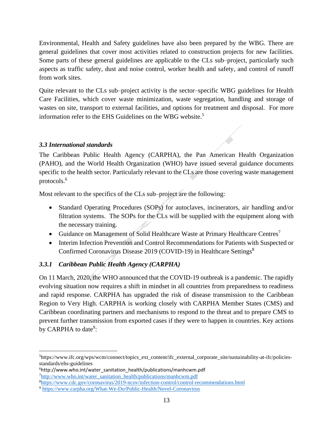Environmental, Health and Safety guidelines have also been prepared by the WBG. There are general guidelines that cover most activities related to construction projects for new facilities. Some parts of these general guidelines are applicable to the CLs sub–project, particularly such aspects as traffic safety, dust and noise control, worker health and safety, and control of runoff from work sites.

Quite relevant to the CLs sub–project activity is the sector–specific WBG guidelines for Health Care Facilities, which cover waste minimization, waste segregation, handling and storage of wastes on site, transport to external facilities, and options for treatment and disposal. For more information refer to the EHS Guidelines on the WBG website.<sup>5</sup>

#### <span id="page-12-0"></span>*3.3 International standards*

The Caribbean Public Health Agency (CARPHA), the Pan American Health Organization (PAHO), and the World Health Organization (WHO) have issued several guidance documents specific to the health sector. Particularly relevant to the CLs are those covering waste management protocols.<sup>6</sup>

Most relevant to the specifics of the CLs sub–project are the following:

- Standard Operating Procedures (SOPs) for autoclaves, incinerators, air handling and/or filtration systems. The SOPs for the CLs will be supplied with the equipment along with the necessary training.
- Guidance on Management of Solid Healthcare Waste at Primary Healthcare Centres<sup>7</sup>
- Interim Infection Prevention and Control Recommendations for Patients with Suspected or Confirmed Coronavirus Disease 2019 (COVID-19) in Healthcare Settings<sup>8</sup>

#### *3.3.1 Caribbean Public Health Agency (CARPHA)*

On 11 March, 2020, the WHO announced that the COVID-19 outbreak is a pandemic. The rapidly evolving situation now requires a shift in mindset in all countries from preparedness to readiness and rapid response. CARPHA has upgraded the risk of disease transmission to the Caribbean Region to Very High. CARPHA is working closely with CARPHA Member States (CMS) and Caribbean coordinating partners and mechanisms to respond to the threat and to prepare CMS to prevent further transmission from exported cases if they were to happen in countries. Key actions by CARPHA to date<sup>9</sup>:

<sup>5</sup>https://www.ifc.org/wps/wcm/connect/topics\_ext\_content/ifc\_external\_corporate\_site/sustainability-at-ifc/policiesstandards/ehs-guidelines

<sup>6</sup>http://www.who.int/water\_sanitation\_health/publications/manhcwm.pdf <sup>7</sup>[http://www.who.int/water\\_sanitation\\_health/publications/manhcwm.pdf](http://www.who.int/water_sanitation_health/publications/manhcwm.pdf)

<sup>8</sup><https://www.cdc.gov/coronavirus/2019-ncov/infection-control/control-recommendations.html>

<sup>9</sup> <https://www.carpha.org/What-We-Do/Public-Health/Novel-Coronavirus>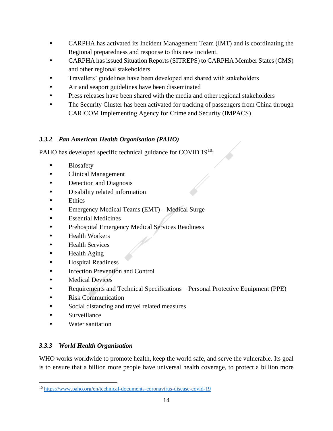- CARPHA has activated its Incident Management Team (IMT) and is coordinating the Regional preparedness and response to this new incident.
- CARPHA has issued Situation Reports (SITREPS) to CARPHA Member States (CMS) and other regional stakeholders
- Travellers' guidelines have been developed and shared with stakeholders
- Air and seaport guidelines have been disseminated
- Press releases have been shared with the media and other regional stakeholders
- The Security Cluster has been activated for tracking of passengers from China through CARICOM Implementing Agency for Crime and Security (IMPACS)

### *3.3.2 Pan American Health Organisation (PAHO)*

PAHO has developed specific technical guidance for COVID 19<sup>10</sup>:

- Biosafety
- Clinical Management
- Detection and Diagnosis
- Disability related information
- Ethics
- Emergency Medical Teams (EMT) Medical Surge
- Essential Medicines
- Prehospital Emergency Medical Services Readiness
- Health Workers
- Health Services
- Health Aging
- Hospital Readiness
- **Infection Prevention and Control**
- Medical Devices
- Requirements and Technical Specifications Personal Protective Equipment (PPE)
- Risk Communication
- Social distancing and travel related measures
- Surveillance
- Water sanitation

### *3.3.3 World Health Organisation*

WHO works worldwide to promote health, keep the world safe, and serve the vulnerable. Its goal is to ensure that a billion more people have universal health coverage, to protect a billion more

<sup>10</sup> <https://www.paho.org/en/technical-documents-coronavirus-disease-covid-19>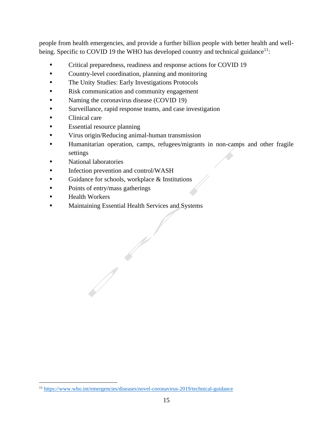people from health emergencies, and provide a further billion people with better health and wellbeing. Specific to COVID 19 the WHO has developed country and technical guidance $11$ :

- Critical preparedness, readiness and response actions for COVID 19
- Country-level coordination, planning and monitoring
- The Unity Studies: Early Investigations Protocols
- Risk communication and community engagement
- Naming the coronavirus disease (COVID 19)
- Surveillance, rapid response teams, and case investigation
- Clinical care
- Essential resource planning
- Virus origin/Reducing animal-human transmission
- Humanitarian operation, camps, refugees/migrants in non-camps and other fragile settings
- National laboratories
- Infection prevention and control/WASH
- Guidance for schools, workplace & Institutions
- Points of entry/mass gatherings
- Health Workers
- Maintaining Essential Health Services and Systems

<sup>11</sup> <https://www.who.int/emergencies/diseases/novel-coronavirus-2019/technical-guidance>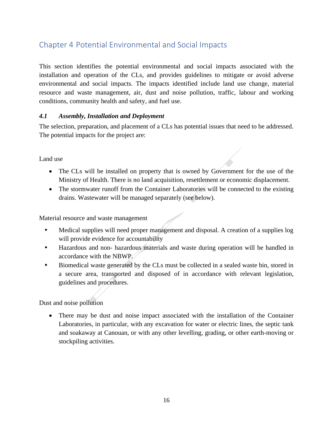## <span id="page-15-0"></span>Chapter 4 Potential Environmental and Social Impacts

This section identifies the potential environmental and social impacts associated with the installation and operation of the CLs, and provides guidelines to mitigate or avoid adverse environmental and social impacts. The impacts identified include land use change, material resource and waste management, air, dust and noise pollution, traffic, labour and working conditions, community health and safety, and fuel use.

#### <span id="page-15-1"></span>*4.1 Assembly, Installation and Deployment*

The selection, preparation, and placement of a CLs has potential issues that need to be addressed. The potential impacts for the project are:

Land use

- The CLs will be installed on property that is owned by Government for the use of the Ministry of Health. There is no land acquisition, resettlement or economic displacement.
- The stormwater runoff from the Container Laboratories will be connected to the existing drains. Wastewater will be managed separately (see below).

Material resource and waste management

- Medical supplies will need proper management and disposal. A creation of a supplies log will provide evidence for accountability
- Hazardous and non- hazardous materials and waste during operation will be handled in accordance with the NBWP.
- Biomedical waste generated by the CLs must be collected in a sealed waste bin, stored in a secure area, transported and disposed of in accordance with relevant legislation, guidelines and procedures.

Dust and noise pollution

• There may be dust and noise impact associated with the installation of the Container Laboratories, in particular, with any excavation for water or electric lines, the septic tank and soakaway at Canouan, or with any other levelling, grading, or other earth-moving or stockpiling activities.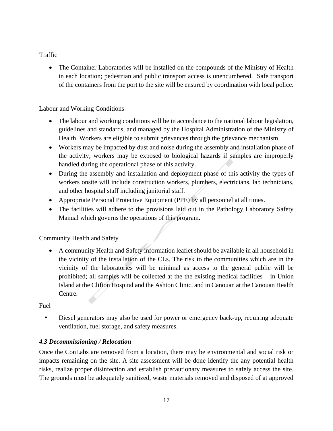#### Traffic

• The Container Laboratories will be installed on the compounds of the Ministry of Health in each location; pedestrian and public transport access is unencumbered. Safe transport of the containers from the port to the site will be ensured by coordination with local police.

#### Labour and Working Conditions

- The labour and working conditions will be in accordance to the national labour legislation, guidelines and standards, and managed by the Hospital Administration of the Ministry of Health. Workers are eligible to submit grievances through the grievance mechanism.
- Workers may be impacted by dust and noise during the assembly and installation phase of the activity; workers may be exposed to biological hazards if samples are improperly handled during the operational phase of this activity.
- During the assembly and installation and deployment phase of this activity the types of workers onsite will include construction workers, plumbers, electricians, lab technicians, and other hospital staff including janitorial staff.
- Appropriate Personal Protective Equipment (PPE) by all personnel at all times.
- The facilities will adhere to the provisions laid out in the Pathology Laboratory Safety Manual which governs the operations of this program.

Community Health and Safety

• A community Health and Safety information leaflet should be available in all household in the vicinity of the installation of the CLs. The risk to the communities which are in the vicinity of the laboratories will be minimal as access to the general public will be prohibited; all samples will be collected at the the existing medical facilities – in Union Island at the Clifton Hospital and the Ashton Clinic, and in Canouan at the Canouan Health Centre.

Fuel

• Diesel generators may also be used for power or emergency back-up, requiring adequate ventilation, fuel storage, and safety measures.

#### <span id="page-16-0"></span>*4.3 Decommissioning / Relocation*

Once the ConLabs are removed from a location, there may be environmental and social risk or impacts remaining on the site. A site assessment will be done identify the any potential health risks, realize proper disinfection and establish precautionary measures to safely access the site. The grounds must be adequately sanitized, waste materials removed and disposed of at approved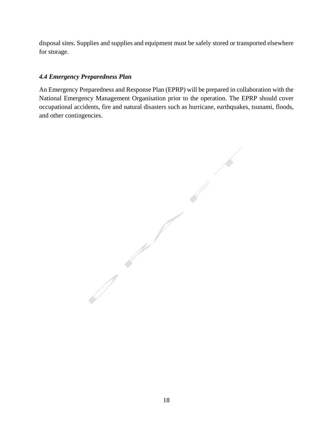disposal sites. Supplies and supplies and equipment must be safely stored or transported elsewhere for storage.

#### *4.4 Emergency Preparedness Plan*

An Emergency Preparedness and Response Plan (EPRP) will be prepared in collaboration with the National Emergency Management Organisation prior to the operation. The EPRP should cover occupational accidents, fire and natural disasters such as hurricane, earthquakes, tsunami, floods, and other contingencies.

 $\sqrt{2}$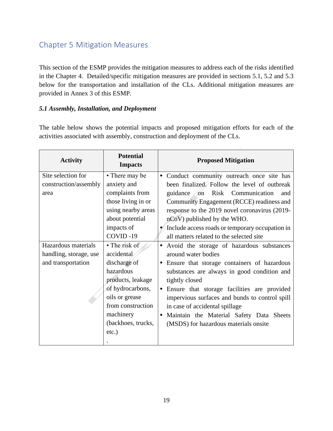## <span id="page-18-0"></span>Chapter 5 Mitigation Measures

This section of the ESMP provides the mitigation measures to address each of the risks identified in the Chapter 4. Detailed/specific mitigation measures are provided in sections 5.1, 5.2 and 5.3 below for the transportation and installation of the CLs. Additional mitigation measures are provided in Annex 3 of this ESMP.

#### <span id="page-18-1"></span>*5.1 Assembly, Installation, and Deployment*

The table below shows the potential impacts and proposed mitigation efforts for each of the activities associated with assembly, construction and deployment of the CLs.

| <b>Activity</b>        | <b>Potential</b><br><b>Impacts</b> | <b>Proposed Mitigation</b>                      |
|------------------------|------------------------------------|-------------------------------------------------|
| Site selection for     | • There may be                     | • Conduct community outreach once site has      |
| construction/assembly  | anxiety and                        | been finalized. Follow the level of outbreak    |
| area                   | complaints from                    | guidance<br>Risk Communication<br>on<br>and     |
|                        | those living in or                 | Community Engagement (RCCE) readiness and       |
|                        | using nearby areas                 | response to the 2019 novel coronavirus (2019-   |
|                        | about potential                    | nCoV) published by the WHO.                     |
|                        | impacts of                         | Include access roads or temporary occupation in |
|                        | COVID-19                           | all matters related to the selected site        |
| Hazardous materials    | • The risk of                      | • Avoid the storage of hazardous substances     |
| handling, storage, use | accidental                         | around water bodies                             |
| and transportation     | discharge of                       | • Ensure that storage containers of hazardous   |
|                        | hazardous                          | substances are always in good condition and     |
|                        | products, leakage                  | tightly closed                                  |
|                        | of hydrocarbons,                   | • Ensure that storage facilities are provided   |
|                        | oils or grease                     | impervious surfaces and bunds to control spill  |
|                        | from construction                  | in case of accidental spillage                  |
|                        | machinery                          | · Maintain the Material Safety Data Sheets      |
|                        | (backhoes, trucks,                 | (MSDS) for hazardous materials onsite           |
|                        | $etc.$ )                           |                                                 |
|                        |                                    |                                                 |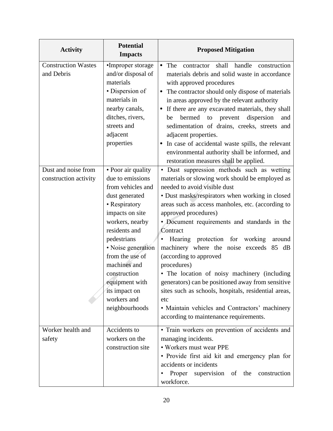| <b>Activity</b>                              | <b>Potential</b><br><b>Impacts</b>                                                                                                                                                                                                                                                                                | <b>Proposed Mitigation</b>                                                                                                                                                                                                                                                                                                                                                                                                                                                                                                                                                                                                                                                                                                   |
|----------------------------------------------|-------------------------------------------------------------------------------------------------------------------------------------------------------------------------------------------------------------------------------------------------------------------------------------------------------------------|------------------------------------------------------------------------------------------------------------------------------------------------------------------------------------------------------------------------------------------------------------------------------------------------------------------------------------------------------------------------------------------------------------------------------------------------------------------------------------------------------------------------------------------------------------------------------------------------------------------------------------------------------------------------------------------------------------------------------|
| <b>Construction Wastes</b><br>and Debris     | •Improper storage<br>and/or disposal of<br>materials<br>• Dispersion of<br>materials in<br>nearby canals,<br>ditches, rivers,<br>streets and<br>adjacent<br>properties                                                                                                                                            | The<br>shall<br>handle<br>construction<br>$\bullet$<br>contractor<br>materials debris and solid waste in accordance<br>with approved procedures<br>The contractor should only dispose of materials<br>$\bullet$<br>in areas approved by the relevant authority<br>If there are any excavated materials, they shall<br>$\bullet$<br>bermed<br>dispersion<br>to<br>prevent<br>be<br>and<br>sedimentation of drains, creeks, streets and<br>adjacent properties.<br>In case of accidental waste spills, the relevant<br>environmental authority shall be informed, and<br>restoration measures shall be applied.                                                                                                                |
| Dust and noise from<br>construction activity | • Poor air quality<br>due to emissions<br>from vehicles and<br>dust generated<br>• Respiratory<br>impacts on site<br>workers, nearby<br>residents and<br>pedestrians<br>· Noise generation<br>from the use of<br>machines and<br>construction<br>equipment with<br>its impact on<br>workers and<br>neighbourhoods | · Dust suppression methods such as wetting<br>materials or slowing work should be employed as<br>needed to avoid visible dust<br>• Dust masks/respirators when working in closed<br>areas such as access manholes, etc. (according to<br>approved procedures)<br>• Document requirements and standards in the<br>Contract<br>Hearing protection for working<br>around<br>machinery where the noise exceeds<br>85 dB<br>(according to approved<br>procedures)<br>• The location of noisy machinery (including<br>generators) can be positioned away from sensitive<br>sites such as schools, hospitals, residential areas,<br>etc<br>• Maintain vehicles and Contractors' machinery<br>according to maintenance requirements. |
| Worker health and<br>safety                  | Accidents to<br>workers on the<br>construction site                                                                                                                                                                                                                                                               | • Train workers on prevention of accidents and<br>managing incidents.<br>• Workers must wear PPE<br>• Provide first aid kit and emergency plan for<br>accidents or incidents<br>Proper<br>supervision of the construction<br>٠<br>workforce.                                                                                                                                                                                                                                                                                                                                                                                                                                                                                 |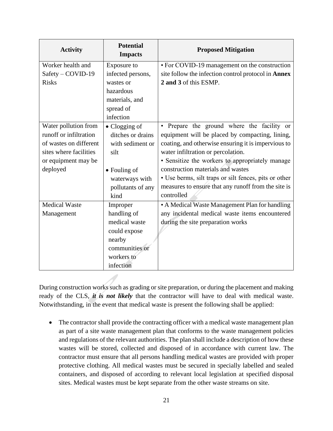| <b>Activity</b>                                                                                                                       | <b>Potential</b><br><b>Impacts</b>                                                                                                            | <b>Proposed Mitigation</b>                                                                                                                                                                                                                                                                                                                                                                                       |
|---------------------------------------------------------------------------------------------------------------------------------------|-----------------------------------------------------------------------------------------------------------------------------------------------|------------------------------------------------------------------------------------------------------------------------------------------------------------------------------------------------------------------------------------------------------------------------------------------------------------------------------------------------------------------------------------------------------------------|
| Worker health and                                                                                                                     | Exposure to                                                                                                                                   | • For COVID-19 management on the construction                                                                                                                                                                                                                                                                                                                                                                    |
| Safety - COVID-19                                                                                                                     | infected persons,                                                                                                                             | site follow the infection control protocol in Annex                                                                                                                                                                                                                                                                                                                                                              |
| <b>Risks</b>                                                                                                                          | wastes or                                                                                                                                     | 2 and 3 of this ESMP.                                                                                                                                                                                                                                                                                                                                                                                            |
|                                                                                                                                       | hazardous                                                                                                                                     |                                                                                                                                                                                                                                                                                                                                                                                                                  |
|                                                                                                                                       | materials, and                                                                                                                                |                                                                                                                                                                                                                                                                                                                                                                                                                  |
|                                                                                                                                       | spread of                                                                                                                                     |                                                                                                                                                                                                                                                                                                                                                                                                                  |
|                                                                                                                                       | infection                                                                                                                                     |                                                                                                                                                                                                                                                                                                                                                                                                                  |
| Water pollution from<br>runoff or infiltration<br>of wastes on different<br>sites where facilities<br>or equipment may be<br>deployed | $\bullet$ Clogging of<br>ditches or drains<br>with sediment or<br>silt<br>$\bullet$ Fouling of<br>waterways with<br>pollutants of any<br>kind | • Prepare the ground where the facility or<br>equipment will be placed by compacting, lining,<br>coating, and otherwise ensuring it is impervious to<br>water infiltration or percolation.<br>• Sensitize the workers to appropriately manage<br>construction materials and wastes<br>• Use berms, silt traps or silt fences, pits or other<br>measures to ensure that any runoff from the site is<br>controlled |
| <b>Medical Waste</b><br>Management                                                                                                    | Improper<br>handling of<br>medical waste<br>could expose<br>nearby<br>communities or<br>workers to<br>infection                               | • A Medical Waste Management Plan for handling<br>any incidental medical waste items encountered<br>during the site preparation works                                                                                                                                                                                                                                                                            |

During construction works such as grading or site preparation, or during the placement and making ready of the CLS, *it is not likely* that the contractor will have to deal with medical waste. Notwithstanding, in the event that medical waste is present the following shall be applied:

• The contractor shall provide the contracting officer with a medical waste management plan as part of a site waste management plan that conforms to the waste management policies and regulations of the relevant authorities. The plan shall include a description of how these wastes will be stored, collected and disposed of in accordance with current law. The contractor must ensure that all persons handling medical wastes are provided with proper protective clothing. All medical wastes must be secured in specially labelled and sealed containers, and disposed of according to relevant local legislation at specified disposal sites. Medical wastes must be kept separate from the other waste streams on site.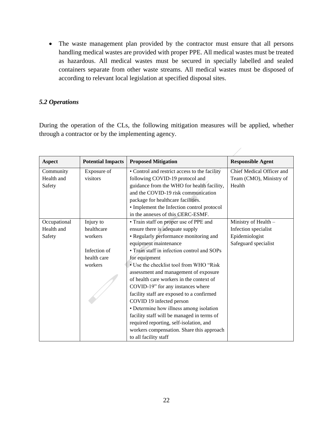• The waste management plan provided by the contractor must ensure that all persons handling medical wastes are provided with proper PPE. All medical wastes must be treated as hazardous. All medical wastes must be secured in specially labelled and sealed containers separate from other waste streams. All medical wastes must be disposed of according to relevant local legislation at specified disposal sites.

#### <span id="page-21-0"></span>*5.2 Operations*

During the operation of the CLs, the following mitigation measures will be applied, whether through a contractor or by the implementing agency.

| <b>Aspect</b> | <b>Potential Impacts</b> | <b>Proposed Mitigation</b>                    | <b>Responsible Agent</b>  |
|---------------|--------------------------|-----------------------------------------------|---------------------------|
| Community     | Exposure of              | • Control and restrict access to the facility | Chief Medical Officer and |
| Health and    | visitors                 | following COVID-19 protocol and               | Team (CMO), Ministry of   |
| Safety        |                          | guidance from the WHO for health facility,    | Health                    |
|               |                          | and the COVID-19 risk communication           |                           |
|               |                          | package for healthcare facilities.            |                           |
|               |                          | • Implement the Infection control protocol    |                           |
|               |                          | in the annexes of this CERC-ESMF.             |                           |
| Occupational  | Injury to                | • Train staff on proper use of PPE and        | Ministry of Health -      |
| Health and    | healthcare               | ensure there is adequate supply               | Infection specialist      |
| Safety        | workers                  | • Regularly performance monitoring and        | Epidemiologist            |
|               |                          | equipment maintenance                         | Safeguard specialist      |
|               | Infection of             | • Train staff in infection control and SOPs   |                           |
|               | health care              | for equipment                                 |                           |
|               | workers                  | • Use the checklist tool from WHO "Risk       |                           |
|               |                          | assessment and management of exposure         |                           |
|               |                          | of health care workers in the context of      |                           |
|               |                          | COVID-19" for any instances where             |                           |
|               |                          | facility staff are exposed to a confirmed     |                           |
|               |                          | COVID 19 infected person                      |                           |
|               |                          | • Determine how illness among isolation       |                           |
|               |                          | facility staff will be managed in terms of    |                           |
|               |                          | required reporting, self-isolation, and       |                           |
|               |                          | workers compensation. Share this approach     |                           |
|               |                          | to all facility staff                         |                           |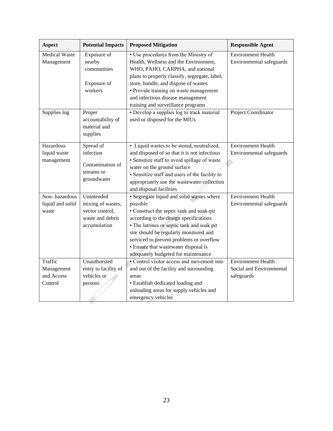| <b>Aspect</b>        | <b>Potential Impacts</b> | <b>Proposed Mitigation</b>                     | <b>Responsible Agent</b>  |
|----------------------|--------------------------|------------------------------------------------|---------------------------|
| <b>Medical Waste</b> | Exposure of              | • Use procedures from the Ministry of          | <b>Environment Health</b> |
| Management           | nearby                   | Health, Wellness and the Environment,          | Environmental safeguards  |
|                      | communities              | WHO, PAHO, CARPHA, and national                |                           |
|                      |                          | plans to properly classify, segregate, label,  |                           |
|                      | Exposure of              | store, handle, and dispose of wastes           |                           |
|                      | workers                  | • Provide training on waste management         |                           |
|                      |                          | and infectious disease management              |                           |
|                      |                          | training and surveillance programs             |                           |
| Supplies log         | Proper                   | • Develop a supplies log to track material     | Project Coordinator       |
|                      | accountability of        | used or disposed for the MIUs                  |                           |
|                      | material and             |                                                |                           |
|                      | supplies                 |                                                |                           |
| Hazardous            | Spread of                | • Liquid wastes to be stored, neutralized,     | <b>Environment Health</b> |
| liquid waste         | infection                | and disposed of so that it is not infectious   | Environmental safeguards  |
| management           |                          | · Sensitize staff to avoid spillage of waste   |                           |
|                      | Contamination of         | water on the ground surface                    |                           |
|                      | streams or               | · Sensitize staff and users of the facility to |                           |
|                      | groundwater              | appropriately use the wastewater collection    |                           |
|                      |                          | and disposal facilities                        |                           |
| Non-hazardous        | Unintended               | · Segregate liquid and solid wastes where      | <b>Environment Health</b> |
| liquid and solid     | mixing of wastes,        | possible                                       | Environmental safeguards  |
| waste                | vector control,          | • Construct the septic tank and soak-pit       |                           |
|                      | waste and debris         | according to the design specifications         |                           |
|                      | accumulation             | • The latrines or septic tank and soak pit     |                           |
|                      |                          | site should be regularly monitored and         |                           |
|                      |                          | serviced to prevent problems or overflow       |                           |
|                      |                          | • Ensure that wastewater disposal is           |                           |
|                      |                          | adequately budgeted for maintenance            |                           |
| Traffic              | Unauthorized             | • Control visitor access and movement into     | <b>Environment Health</b> |
| Management           | entry to facility of     | and out of the facility and surrounding        | Social and Environmental  |
| and Access           | vehicles or              | areas                                          | safeguards                |
| Control              | persons                  | • Establish dedicated loading and              |                           |
|                      |                          | unloading areas for supply vehicles and        |                           |
|                      |                          | emergency vehicles                             |                           |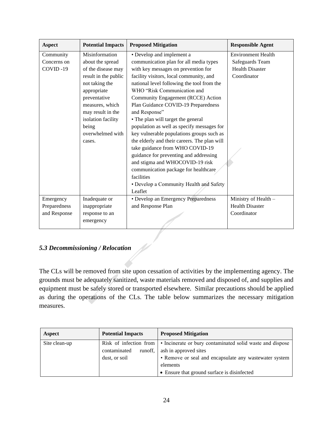| <b>Aspect</b> | <b>Potential Impacts</b> | <b>Proposed Mitigation</b>                   | <b>Responsible Agent</b>  |
|---------------|--------------------------|----------------------------------------------|---------------------------|
| Community     | Misinformation           | • Develop and implement a                    | <b>Environment Health</b> |
| Concerns on   | about the spread         | communication plan for all media types       | Safeguards Team           |
| COVID-19      | of the disease may       | with key messages on prevention for          | <b>Health Disaster</b>    |
|               | result in the public     | facility visitors, local community, and      | Coordinator               |
|               | not taking the           | national level following the tool from the   |                           |
|               | appropriate              | WHO "Risk Communication and                  |                           |
|               | preventative             | Community Engagement (RCCE) Action           |                           |
|               | measures, which          | Plan Guidance COVID-19 Preparedness          |                           |
|               | may result in the        | and Response"                                |                           |
|               | isolation facility       | • The plan will target the general           |                           |
|               | being                    | population as well as specify messages for   |                           |
|               | overwhelmed with         | key vulnerable populations groups such as    |                           |
|               | cases.                   | the elderly and their careers. The plan will |                           |
|               |                          | take guidance from WHO COVID-19              |                           |
|               |                          | guidance for preventing and addressing       |                           |
|               |                          | and stigma and WHOCOVID-19 risk              |                           |
|               |                          | communication package for healthcare         |                           |
|               |                          | facilities                                   |                           |
|               |                          | • Develop a Community Health and Safety      |                           |
|               |                          | Leaflet                                      |                           |
| Emergency     | Inadequate or            | • Develop an Emergency Preparedness          | Ministry of Health -      |
| Preparedness  | inappropriate            | and Response Plan                            | <b>Health Disaster</b>    |
| and Response  | response to an           |                                              | Coordinator               |
|               | emergency                |                                              |                           |
|               |                          |                                              |                           |

#### <span id="page-23-0"></span>*5.3 Decommissioning / Relocation*

The CLs will be removed from site upon cessation of activities by the implementing agency. The grounds must be adequately sanitized, waste materials removed and disposed of, and supplies and equipment must be safely stored or transported elsewhere. Similar precautions should be applied as during the operations of the CLs. The table below summarizes the necessary mitigation measures.

| Aspect        | <b>Potential Impacts</b> | <b>Proposed Mitigation</b>                                                       |
|---------------|--------------------------|----------------------------------------------------------------------------------|
| Site clean-up |                          | Risk of infection from • Incinerate or bury contaminated solid waste and dispose |
|               | runoff,<br>contaminated  | ash in approved sites                                                            |
|               | dust, or soil            | • Remove or seal and encapsulate any wastewater system                           |
|               |                          | elements                                                                         |
|               |                          | • Ensure that ground surface is disinfected                                      |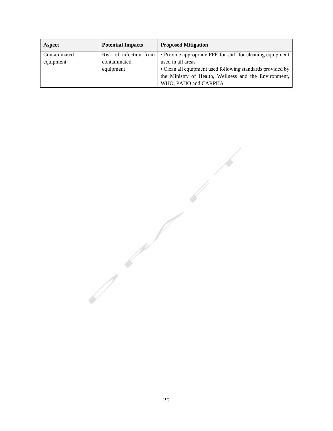| Aspect       | <b>Potential Impacts</b> | <b>Proposed Mitigation</b>                                 |
|--------------|--------------------------|------------------------------------------------------------|
| Contaminated | Risk of infection from   | • Provide appropriate PPE for staff for cleaning equipment |
| equipment    | contaminated             | used in all areas                                          |
|              | equipment                | • Clean all equipment used following standards provided by |
|              |                          | the Ministry of Health, Wellness and the Environment,      |
|              |                          | WHO, PAHO and CARPHA                                       |

25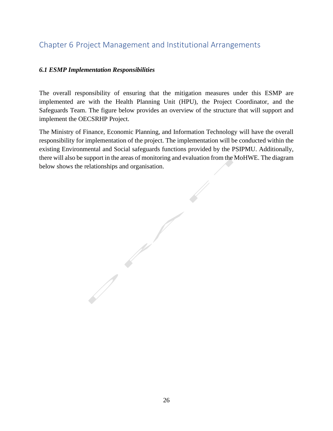## <span id="page-25-0"></span>Chapter 6 Project Management and Institutional Arrangements

#### <span id="page-25-1"></span>*6.1 ESMP Implementation Responsibilities*

 $\sqrt{2}$ 

The overall responsibility of ensuring that the mitigation measures under this ESMP are implemented are with the Health Planning Unit (HPU), the Project Coordinator, and the Safeguards Team. The figure below provides an overview of the structure that will support and implement the OECSRHP Project.

The Ministry of Finance, Economic Planning, and Information Technology will have the overall responsibility for implementation of the project. The implementation will be conducted within the existing Environmental and Social safeguards functions provided by the PSIPMU. Additionally, there will also be support in the areas of monitoring and evaluation from the MoHWE. The diagram below shows the relationships and organisation.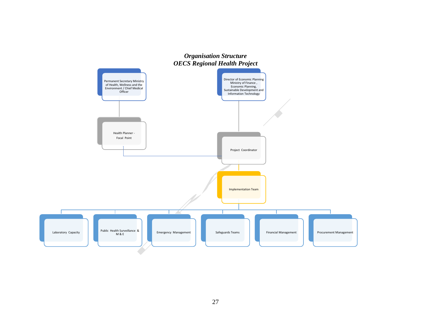<span id="page-26-1"></span><span id="page-26-0"></span>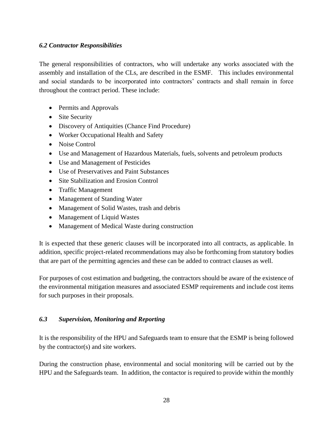#### <span id="page-27-0"></span>*6.2 Contractor Responsibilities*

The general responsibilities of contractors, who will undertake any works associated with the assembly and installation of the CLs, are described in the ESMF. This includes environmental and social standards to be incorporated into contractors' contracts and shall remain in force throughout the contract period. These include:

- Permits and Approvals
- Site Security
- Discovery of Antiquities (Chance Find Procedure)
- Worker Occupational Health and Safety
- Noise Control
- Use and Management of Hazardous Materials, fuels, solvents and petroleum products
- Use and Management of Pesticides
- Use of Preservatives and Paint Substances
- Site Stabilization and Erosion Control
- Traffic Management
- Management of Standing Water
- Management of Solid Wastes, trash and debris
- Management of Liquid Wastes
- Management of Medical Waste during construction

It is expected that these generic clauses will be incorporated into all contracts, as applicable. In addition, specific project-related recommendations may also be forthcoming from statutory bodies that are part of the permitting agencies and these can be added to contract clauses as well.

For purposes of cost estimation and budgeting, the contractors should be aware of the existence of the environmental mitigation measures and associated ESMP requirements and include cost items for such purposes in their proposals.

#### <span id="page-27-1"></span>*6.3 Supervision, Monitoring and Reporting*

It is the responsibility of the HPU and Safeguards team to ensure that the ESMP is being followed by the contractor(s) and site workers.

During the construction phase, environmental and social monitoring will be carried out by the HPU and the Safeguards team. In addition, the contactor is required to provide within the monthly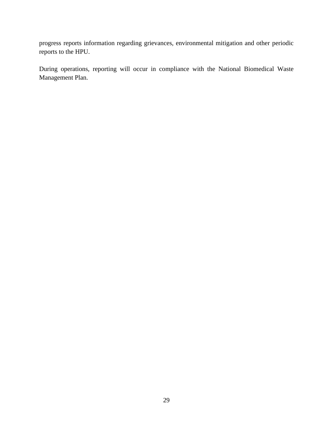progress reports information regarding grievances, environmental mitigation and other periodic reports to the HPU.

During operations, reporting will occur in compliance with the National Biomedical Waste Management Plan.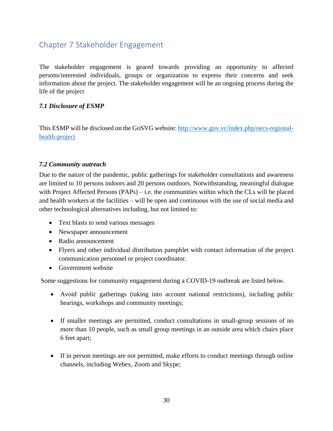## <span id="page-29-0"></span>Chapter 7 Stakeholder Engagement

The stakeholder engagement is geared towards providing an opportunity to affected persons/interested individuals, groups or organization to express their concerns and seek information about the project. The stakeholder engagement will be an ongoing process during the life of the project

#### <span id="page-29-1"></span>*7.1 Disclosure of ESMP*

This ESMP will be disclosed on the GoSVG website: [http://www.gov.vc/index.php/oecs-regional](http://www.gov.vc/index.php/oecs-regional-health-project)[health-project](http://www.gov.vc/index.php/oecs-regional-health-project)

#### <span id="page-29-2"></span>*7.2 Community outreach*

Due to the nature of the pandemic, public gatherings for stakeholder consultations and awareness are limited to 10 persons indoors and 20 persons outdoors. Notwithstanding, meaningful dialogue with Project Affected Persons (PAPs) – i.e. the communities within which the CLs will be placed and health workers at the facilities – will be open and continuous with the use of social media and other technological alternatives including, but not limited to:

- Text blasts to send various messages
- Newspaper announcement
- Radio announcement
- Flyers and other individual distribution pamphlet with contact information of the project communication personnel or project coordinator.
- Government website

Some suggestions for community engagement during a COVID-19 outbreak are listed below.

- Avoid public gatherings (taking into account national restrictions), including public hearings, workshops and community meetings;
- If smaller meetings are permitted, conduct consultations in small-group sessions of no more than 10 people, such as small group meetings in an outside area which chairs place 6 feet apart;
- If in person meetings are not permitted, make efforts to conduct meetings through online channels, including Webex, Zoom and Skype;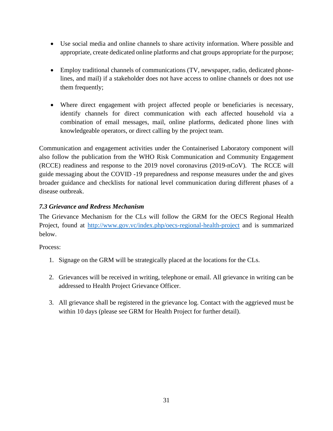- Use social media and online channels to share activity information. Where possible and appropriate, create dedicated online platforms and chat groups appropriate for the purpose;
- Employ traditional channels of communications (TV, newspaper, radio, dedicated phonelines, and mail) if a stakeholder does not have access to online channels or does not use them frequently;
- Where direct engagement with project affected people or beneficiaries is necessary, identify channels for direct communication with each affected household via a combination of email messages, mail, online platforms, dedicated phone lines with knowledgeable operators, or direct calling by the project team.

Communication and engagement activities under the Containerised Laboratory component will also follow the publication from the WHO Risk Communication and Community Engagement (RCCE) readiness and response to the 2019 novel coronavirus (2019-nCoV). The RCCE will guide messaging about the COVID -19 preparedness and response measures under the and gives broader guidance and checklists for national level communication during different phases of a disease outbreak.

#### <span id="page-30-0"></span>*7.3 Grievance and Redress Mechanism*

The Grievance Mechanism for the CLs will follow the GRM for the OECS Regional Health Project, found at <http://www.gov.vc/index.php/oecs-regional-health-project> and is summarized below.

Process:

- 1. Signage on the GRM will be strategically placed at the locations for the CLs.
- 2. Grievances will be received in writing, telephone or email. All grievance in writing can be addressed to Health Project Grievance Officer.
- 3. All grievance shall be registered in the grievance log. Contact with the aggrieved must be within 10 days (please see GRM for Health Project for further detail).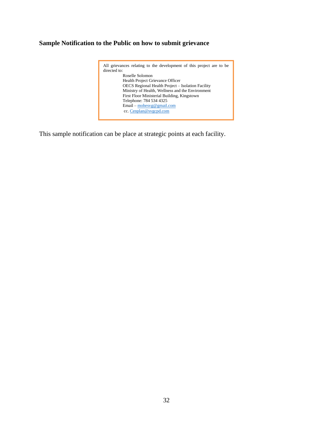#### **Sample Notification to the Public on how to submit grievance**



This sample notification can be place at strategic points at each facility.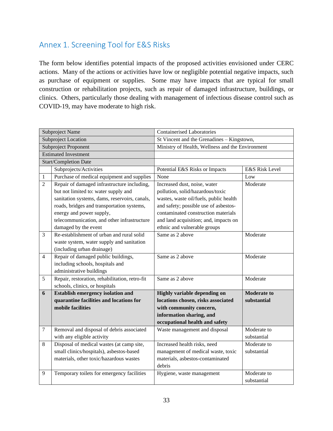## <span id="page-32-0"></span>Annex 1. Screening Tool for E&S Risks

The form below identifies potential impacts of the proposed activities envisioned under CERC actions. Many of the actions or activities have low or negligible potential negative impacts, such as purchase of equipment or supplies. Some may have impacts that are typical for small construction or rehabilitation projects, such as repair of damaged infrastructure, buildings, or clinics. Others, particularly those dealing with management of infectious disease control such as COVID-19, may have moderate to high risk.

|                | Subproject Name                                | <b>Containerised Laboratories</b>                |                    |  |
|----------------|------------------------------------------------|--------------------------------------------------|--------------------|--|
|                | <b>Subproject Location</b>                     | St Vincent and the Grenadines - Kingstown,       |                    |  |
|                | Subproject Proponent                           | Ministry of Health, Wellness and the Environment |                    |  |
|                | <b>Estimated Investment</b>                    |                                                  |                    |  |
|                | Start/Completion Date                          |                                                  |                    |  |
|                | Subprojects/Activities                         | Potential E&S Risks or Impacts                   | E&S Risk Level     |  |
| $\mathbf{1}$   | Purchase of medical equipment and supplies     | None                                             | Low                |  |
| $\overline{2}$ | Repair of damaged infrastructure including,    | Increased dust, noise, water                     | Moderate           |  |
|                | but not limited to: water supply and           | pollution, solid/hazardous/toxic                 |                    |  |
|                | sanitation systems, dams, reservoirs, canals,  | wastes, waste oil/fuels, public health           |                    |  |
|                | roads, bridges and transportation systems,     | and safety; possible use of asbestos-            |                    |  |
|                | energy and power supply,                       | contaminated construction materials              |                    |  |
|                | telecommunication, and other infrastructure    | and land acquisition; and, impacts on            |                    |  |
|                | damaged by the event                           | ethnic and vulnerable groups                     |                    |  |
| $\mathfrak{Z}$ | Re-establishment of urban and rural solid      | Same as 2 above                                  | Moderate           |  |
|                | waste system, water supply and sanitation      |                                                  |                    |  |
|                | (including urban drainage)                     |                                                  |                    |  |
| $\overline{4}$ | Repair of damaged public buildings,            | Same as 2 above                                  | Moderate           |  |
|                | including schools, hospitals and               |                                                  |                    |  |
|                | administrative buildings                       |                                                  |                    |  |
| 5              | Repair, restoration, rehabilitation, retro-fit | Same as 2 above                                  | Moderate           |  |
|                | schools, clinics, or hospitals                 |                                                  |                    |  |
| 6              | <b>Establish emergency isolation and</b>       | Highly variable depending on                     | <b>Moderate to</b> |  |
|                | quarantine facilities and locations for        | locations chosen, risks associated               | substantial        |  |
|                | mobile facilities                              | with community concern,                          |                    |  |
|                |                                                | information sharing, and                         |                    |  |
|                |                                                | occupational health and safety                   |                    |  |
| $\tau$         | Removal and disposal of debris associated      | Waste management and disposal                    | Moderate to        |  |
|                | with any eligible activity                     |                                                  | substantial        |  |
| 8              | Disposal of medical wastes (at camp site,      | Increased health risks, need                     | Moderate to        |  |
|                | small clinics/hospitals), asbestos-based       | management of medical waste, toxic               | substantial        |  |
|                | materials, other toxic/hazardous wastes        | materials, asbestos-contaminated                 |                    |  |
|                |                                                | debris                                           |                    |  |
| 9              | Temporary toilets for emergency facilities     | Hygiene, waste management                        | Moderate to        |  |
|                |                                                |                                                  | substantial        |  |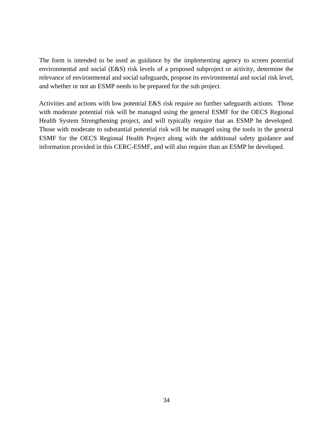The form is intended to be used as guidance by the implementing agency to screen potential environmental and social (E&S) risk levels of a proposed subproject or activity, determine the relevance of environmental and social safeguards, propose its environmental and social risk level, and whether or not an ESMP needs to be prepared for the sub project.

Activities and actions with low potential E&S risk require no further safeguards actions. Those with moderate potential risk will be managed using the general ESMF for the OECS Regional Health System Strengthening project, and will typically require that an ESMP be developed. Those with moderate to substantial potential risk will be managed using the tools in the general ESMF for the OECS Regional Health Project along with the additional safety guidance and information provided in this CERC-ESMF, and will also require than an ESMP be developed.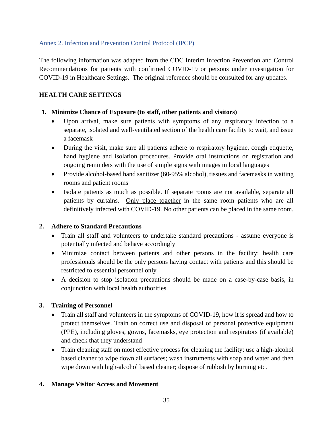#### <span id="page-34-0"></span>Annex 2. Infection and Prevention Control Protocol (IPCP)

The following information was adapted from the CDC Interim Infection Prevention and Control Recommendations for patients with confirmed COVID-19 or persons under investigation for COVID-19 in Healthcare Settings. The original reference should be consulted for any updates.

#### **HEALTH CARE SETTINGS**

#### **1. Minimize Chance of Exposure (to staff, other patients and visitors)**

- Upon arrival, make sure patients with symptoms of any respiratory infection to a separate, isolated and well-ventilated section of the health care facility to wait, and issue a facemask
- During the visit, make sure all patients adhere to respiratory hygiene, cough etiquette, hand hygiene and isolation procedures. Provide oral instructions on registration and ongoing reminders with the use of simple signs with images in local languages
- Provide alcohol-based hand sanitizer (60-95% alcohol), tissues and facemasks in waiting rooms and patient rooms
- Isolate patients as much as possible. If separate rooms are not available, separate all patients by curtains. Only place together in the same room patients who are all definitively infected with COVID-19. No other patients can be placed in the same room.

#### **2. Adhere to Standard Precautions**

- Train all staff and volunteers to undertake standard precautions assume everyone is potentially infected and behave accordingly
- Minimize contact between patients and other persons in the facility: health care professionals should be the only persons having contact with patients and this should be restricted to essential personnel only
- A decision to stop isolation precautions should be made on a case-by-case basis, in conjunction with local health authorities.

#### **3. Training of Personnel**

- Train all staff and volunteers in the symptoms of COVID-19, how it is spread and how to protect themselves. Train on correct use and disposal of personal protective equipment (PPE), including gloves, gowns, facemasks, eye protection and respirators (if available) and check that they understand
- Train cleaning staff on most effective process for cleaning the facility: use a high-alcohol based cleaner to wipe down all surfaces; wash instruments with soap and water and then wipe down with high-alcohol based cleaner; dispose of rubbish by burning etc.

#### **4. Manage Visitor Access and Movement**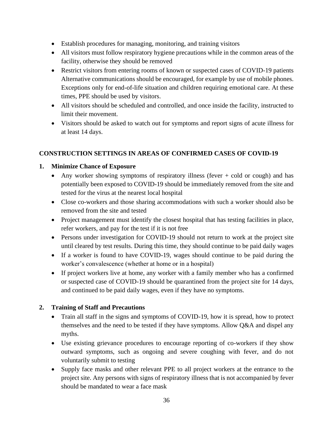- Establish procedures for managing, monitoring, and training visitors
- All visitors must follow respiratory hygiene precautions while in the common areas of the facility, otherwise they should be removed
- Restrict visitors from entering rooms of known or suspected cases of COVID-19 patients Alternative communications should be encouraged, for example by use of mobile phones. Exceptions only for end-of-life situation and children requiring emotional care. At these times, PPE should be used by visitors.
- All visitors should be scheduled and controlled, and once inside the facility, instructed to limit their movement.
- Visitors should be asked to watch out for symptoms and report signs of acute illness for at least 14 days.

#### **CONSTRUCTION SETTINGS IN AREAS OF CONFIRMED CASES OF COVID-19**

#### **1. Minimize Chance of Exposure**

- Any worker showing symptoms of respiratory illness (fever + cold or cough) and has potentially been exposed to COVID-19 should be immediately removed from the site and tested for the virus at the nearest local hospital
- Close co-workers and those sharing accommodations with such a worker should also be removed from the site and tested
- Project management must identify the closest hospital that has testing facilities in place, refer workers, and pay for the test if it is not free
- Persons under investigation for COVID-19 should not return to work at the project site until cleared by test results. During this time, they should continue to be paid daily wages
- If a worker is found to have COVID-19, wages should continue to be paid during the worker's convalescence (whether at home or in a hospital)
- If project workers live at home, any worker with a family member who has a confirmed or suspected case of COVID-19 should be quarantined from the project site for 14 days, and continued to be paid daily wages, even if they have no symptoms.

#### **2. Training of Staff and Precautions**

- Train all staff in the signs and symptoms of COVID-19, how it is spread, how to protect themselves and the need to be tested if they have symptoms. Allow Q&A and dispel any myths.
- Use existing grievance procedures to encourage reporting of co-workers if they show outward symptoms, such as ongoing and severe coughing with fever, and do not voluntarily submit to testing
- Supply face masks and other relevant PPE to all project workers at the entrance to the project site. Any persons with signs of respiratory illness that is not accompanied by fever should be mandated to wear a face mask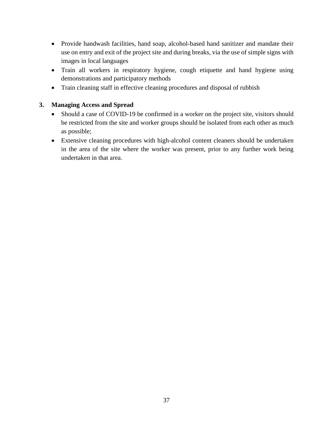- Provide handwash facilities, hand soap, alcohol-based hand sanitizer and mandate their use on entry and exit of the project site and during breaks, via the use of simple signs with images in local languages
- Train all workers in respiratory hygiene, cough etiquette and hand hygiene using demonstrations and participatory methods
- Train cleaning staff in effective cleaning procedures and disposal of rubbish

#### **3. Managing Access and Spread**

- Should a case of COVID-19 be confirmed in a worker on the project site, visitors should be restricted from the site and worker groups should be isolated from each other as much as possible;
- Extensive cleaning procedures with high-alcohol content cleaners should be undertaken in the area of the site where the worker was present, prior to any further work being undertaken in that area.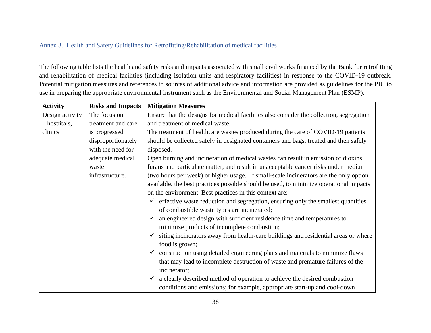#### Annex 3. Health and Safety Guidelines for Retrofitting/Rehabilitation of medical facilities

The following table lists the health and safety risks and impacts associated with small civil works financed by the Bank for retrofitting and rehabilitation of medical facilities (including isolation units and respiratory facilities) in response to the COVID-19 outbreak. Potential mitigation measures and references to sources of additional advice and information are provided as guidelines for the PIU to use in preparing the appropriate environmental instrument such as the Environmental and Social Management Plan (ESMP).

<span id="page-37-0"></span>

| <b>Activity</b> | <b>Risks and Impacts</b> | <b>Mitigation Measures</b>                                                                       |  |
|-----------------|--------------------------|--------------------------------------------------------------------------------------------------|--|
| Design activity | The focus on             | Ensure that the designs for medical facilities also consider the collection, segregation         |  |
| - hospitals,    | treatment and care       | and treatment of medical waste.                                                                  |  |
| clinics         | is progressed            | The treatment of healthcare wastes produced during the care of COVID-19 patients                 |  |
|                 | disproportionately       | should be collected safely in designated containers and bags, treated and then safely            |  |
|                 | with the need for        | disposed.                                                                                        |  |
|                 | adequate medical         | Open burning and incineration of medical wastes can result in emission of dioxins,               |  |
|                 | waste                    | furans and particulate matter, and result in unacceptable cancer risks under medium              |  |
|                 | infrastructure.          | (two hours per week) or higher usage. If small-scale incinerators are the only option            |  |
|                 |                          | available, the best practices possible should be used, to minimize operational impacts           |  |
|                 |                          | on the environment. Best practices in this context are:                                          |  |
|                 |                          | effective waste reduction and segregation, ensuring only the smallest quantities<br>$\checkmark$ |  |
|                 |                          | of combustible waste types are incinerated;                                                      |  |
|                 |                          | an engineered design with sufficient residence time and temperatures to                          |  |
|                 |                          | minimize products of incomplete combustion;                                                      |  |
|                 |                          | siting incinerators away from health-care buildings and residential areas or where               |  |
|                 |                          | food is grown;                                                                                   |  |
|                 |                          | construction using detailed engineering plans and materials to minimize flaws<br>$\checkmark$    |  |
|                 |                          | that may lead to incomplete destruction of waste and premature failures of the                   |  |
|                 |                          | incinerator;                                                                                     |  |
|                 |                          | a clearly described method of operation to achieve the desired combustion<br>$\checkmark$        |  |
|                 |                          | conditions and emissions; for example, appropriate start-up and cool-down                        |  |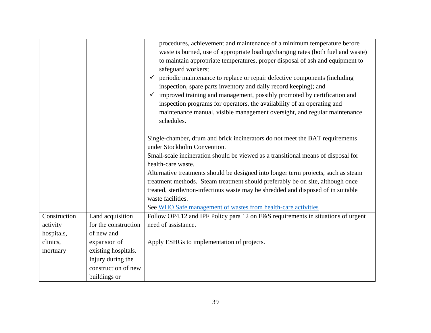|                     |                      | procedures, achievement and maintenance of a minimum temperature before                  |
|---------------------|----------------------|------------------------------------------------------------------------------------------|
|                     |                      | waste is burned, use of appropriate loading/charging rates (both fuel and waste)         |
|                     |                      | to maintain appropriate temperatures, proper disposal of ash and equipment to            |
|                     |                      | safeguard workers;                                                                       |
|                     |                      | periodic maintenance to replace or repair defective components (including                |
|                     |                      |                                                                                          |
|                     |                      | inspection, spare parts inventory and daily record keeping); and                         |
|                     |                      | improved training and management, possibly promoted by certification and<br>$\checkmark$ |
|                     |                      | inspection programs for operators, the availability of an operating and                  |
|                     |                      | maintenance manual, visible management oversight, and regular maintenance                |
|                     |                      | schedules.                                                                               |
|                     |                      | Single-chamber, drum and brick incinerators do not meet the BAT requirements             |
|                     |                      | under Stockholm Convention.                                                              |
|                     |                      |                                                                                          |
|                     |                      | Small-scale incineration should be viewed as a transitional means of disposal for        |
|                     |                      | health-care waste.                                                                       |
|                     |                      | Alternative treatments should be designed into longer term projects, such as steam       |
|                     |                      | treatment methods. Steam treatment should preferably be on site, although once           |
|                     |                      | treated, sterile/non-infectious waste may be shredded and disposed of in suitable        |
|                     |                      | waste facilities.                                                                        |
|                     |                      | See WHO Safe management of wastes from health-care activities                            |
| Construction        | Land acquisition     | Follow OP4.12 and IPF Policy para 12 on E&S requirements in situations of urgent         |
| $\text{activity} -$ | for the construction | need of assistance.                                                                      |
| hospitals,          | of new and           |                                                                                          |
| clinics,            | expansion of         | Apply ESHGs to implementation of projects.                                               |
| mortuary            | existing hospitals.  |                                                                                          |
|                     | Injury during the    |                                                                                          |
|                     | construction of new  |                                                                                          |
|                     | buildings or         |                                                                                          |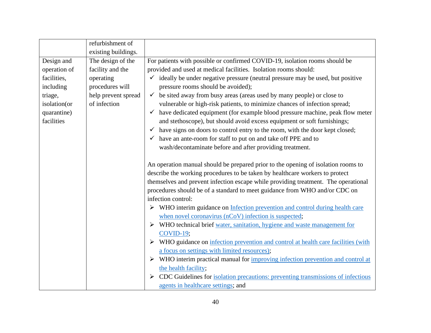|              | refurbishment of    |                                                                                               |
|--------------|---------------------|-----------------------------------------------------------------------------------------------|
|              | existing buildings. |                                                                                               |
| Design and   | The design of the   | For patients with possible or confirmed COVID-19, isolation rooms should be                   |
| operation of | facility and the    | provided and used at medical facilities. Isolation rooms should:                              |
| facilities,  | operating           | ideally be under negative pressure (neutral pressure may be used, but positive                |
| including    | procedures will     | pressure rooms should be avoided);                                                            |
| triage,      | help prevent spread | be sited away from busy areas (areas used by many people) or close to<br>$\checkmark$         |
| isolation(or | of infection        | vulnerable or high-risk patients, to minimize chances of infection spread;                    |
| quarantine)  |                     | have dedicated equipment (for example blood pressure machine, peak flow meter<br>$\checkmark$ |
| facilities   |                     | and stethoscope), but should avoid excess equipment or soft furnishings;                      |
|              |                     | have signs on doors to control entry to the room, with the door kept closed;                  |
|              |                     | have an ante-room for staff to put on and take off PPE and to                                 |
|              |                     | wash/decontaminate before and after providing treatment.                                      |
|              |                     |                                                                                               |
|              |                     | An operation manual should be prepared prior to the opening of isolation rooms to             |
|              |                     | describe the working procedures to be taken by healthcare workers to protect                  |
|              |                     | themselves and prevent infection escape while providing treatment. The operational            |
|              |                     | procedures should be of a standard to meet guidance from WHO and/or CDC on                    |
|              |                     | infection control:                                                                            |
|              |                     | $\triangleright$ WHO interim guidance on Infection prevention and control during health care  |
|              |                     | when novel coronavirus (nCoV) infection is suspected;                                         |
|              |                     | WHO technical brief water, sanitation, hygiene and waste management for                       |
|              |                     | COVID-19;                                                                                     |
|              |                     | > WHO guidance on infection prevention and control at health care facilities (with            |
|              |                     | a focus on settings with limited resources);                                                  |
|              |                     | WHO interim practical manual for <i>improving infection prevention and control at</i>         |
|              |                     | the health facility;                                                                          |
|              |                     | CDC Guidelines for isolation precautions: preventing transmissions of infectious              |
|              |                     | agents in healthcare settings; and                                                            |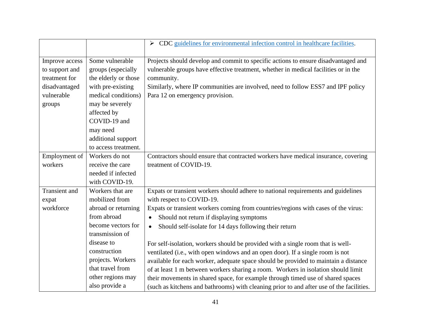|                      |                      | $\triangleright$ CDC guidelines for environmental infection control in healthcare facilities. |
|----------------------|----------------------|-----------------------------------------------------------------------------------------------|
|                      |                      |                                                                                               |
| Improve access       | Some vulnerable      | Projects should develop and commit to specific actions to ensure disadvantaged and            |
| to support and       | groups (especially   | vulnerable groups have effective treatment, whether in medical facilities or in the           |
| treatment for        | the elderly or those | community.                                                                                    |
| disadvantaged        | with pre-existing    | Similarly, where IP communities are involved, need to follow ESS7 and IPF policy              |
| vulnerable           | medical conditions)  | Para 12 on emergency provision.                                                               |
| groups               | may be severely      |                                                                                               |
|                      | affected by          |                                                                                               |
|                      | COVID-19 and         |                                                                                               |
|                      | may need             |                                                                                               |
|                      | additional support   |                                                                                               |
|                      | to access treatment. |                                                                                               |
| Employment of        | Workers do not       | Contractors should ensure that contracted workers have medical insurance, covering            |
| workers              | receive the care     | treatment of COVID-19.                                                                        |
|                      | needed if infected   |                                                                                               |
|                      | with COVID-19.       |                                                                                               |
| <b>Transient</b> and | Workers that are     | Expats or transient workers should adhere to national requirements and guidelines             |
| expat                | mobilized from       | with respect to COVID-19.                                                                     |
| workforce            | abroad or returning  | Expats or transient workers coming from countries/regions with cases of the virus:            |
|                      | from abroad          | Should not return if displaying symptoms<br>$\bullet$                                         |
|                      | become vectors for   | Should self-isolate for 14 days following their return<br>$\bullet$                           |
|                      | transmission of      |                                                                                               |
|                      | disease to           | For self-isolation, workers should be provided with a single room that is well-               |
|                      | construction         | ventilated (i.e., with open windows and an open door). If a single room is not                |
|                      | projects. Workers    | available for each worker, adequate space should be provided to maintain a distance           |
|                      | that travel from     | of at least 1 m between workers sharing a room. Workers in isolation should limit             |
|                      | other regions may    | their movements in shared space, for example through timed use of shared spaces               |
|                      | also provide a       | (such as kitchens and bathrooms) with cleaning prior to and after use of the facilities.      |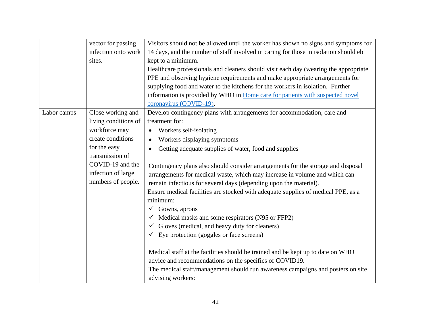|             | vector for passing   | Visitors should not be allowed until the worker has shown no signs and symptoms for  |
|-------------|----------------------|--------------------------------------------------------------------------------------|
|             | infection onto work  | 14 days, and the number of staff involved in caring for those in isolation should eb |
|             | sites.               | kept to a minimum.                                                                   |
|             |                      | Healthcare professionals and cleaners should visit each day (wearing the appropriate |
|             |                      | PPE and observing hygiene requirements and make appropriate arrangements for         |
|             |                      | supplying food and water to the kitchens for the workers in isolation. Further       |
|             |                      | information is provided by WHO in Home care for patients with suspected novel        |
|             |                      | coronavirus (COVID-19).                                                              |
| Labor camps | Close working and    | Develop contingency plans with arrangements for accommodation, care and              |
|             | living conditions of | treatment for:                                                                       |
|             | workforce may        | Workers self-isolating                                                               |
|             | create conditions    | Workers displaying symptoms<br>$\bullet$                                             |
|             | for the easy         | Getting adequate supplies of water, food and supplies                                |
|             | transmission of      |                                                                                      |
|             | COVID-19 and the     | Contingency plans also should consider arrangements for the storage and disposal     |
|             | infection of large   | arrangements for medical waste, which may increase in volume and which can           |
|             | numbers of people.   | remain infectious for several days (depending upon the material).                    |
|             |                      | Ensure medical facilities are stocked with adequate supplies of medical PPE, as a    |
|             |                      | minimum:                                                                             |
|             |                      | $\checkmark$ Gowns, aprons                                                           |
|             |                      | $\checkmark$ Medical masks and some respirators (N95 or FFP2)                        |
|             |                      | $\checkmark$ Gloves (medical, and heavy duty for cleaners)                           |
|             |                      | $\checkmark$ Eye protection (goggles or face screens)                                |
|             |                      |                                                                                      |
|             |                      | Medical staff at the facilities should be trained and be kept up to date on WHO      |
|             |                      | advice and recommendations on the specifics of COVID19.                              |
|             |                      | The medical staff/management should run awareness campaigns and posters on site      |
|             |                      | advising workers:                                                                    |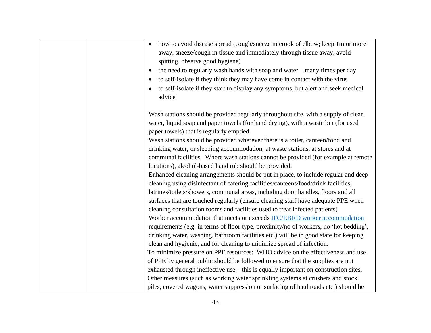| how to avoid disease spread (cough/sneeze in crook of elbow; keep 1m or more<br>$\bullet$<br>away, sneeze/cough in tissue and immediately through tissue away, avoid<br>spitting, observe good hygiene)<br>the need to regularly wash hands with soap and water - many times per day<br>$\bullet$<br>to self-isolate if they think they may have come in contact with the virus<br>to self-isolate if they start to display any symptoms, but alert and seek medical<br>advice |
|--------------------------------------------------------------------------------------------------------------------------------------------------------------------------------------------------------------------------------------------------------------------------------------------------------------------------------------------------------------------------------------------------------------------------------------------------------------------------------|
| Wash stations should be provided regularly throughout site, with a supply of clean<br>water, liquid soap and paper towels (for hand drying), with a waste bin (for used<br>paper towels) that is regularly emptied.                                                                                                                                                                                                                                                            |
| Wash stations should be provided wherever there is a toilet, canteen/food and<br>drinking water, or sleeping accommodation, at waste stations, at stores and at<br>communal facilities. Where wash stations cannot be provided (for example at remote<br>locations), alcohol-based hand rub should be provided.                                                                                                                                                                |
| Enhanced cleaning arrangements should be put in place, to include regular and deep<br>cleaning using disinfectant of catering facilities/canteens/food/drink facilities,<br>latrines/toilets/showers, communal areas, including door handles, floors and all<br>surfaces that are touched regularly (ensure cleaning staff have adequate PPE when                                                                                                                              |
| cleaning consultation rooms and facilities used to treat infected patients)<br>Worker accommodation that meets or exceeds IFC/EBRD worker accommodation<br>requirements (e.g. in terms of floor type, proximity/no of workers, no 'hot bedding',<br>drinking water, washing, bathroom facilities etc.) will be in good state for keeping                                                                                                                                       |
| clean and hygienic, and for cleaning to minimize spread of infection.<br>To minimize pressure on PPE resources: WHO advice on the effectiveness and use<br>of PPE by general public should be followed to ensure that the supplies are not<br>exhausted through ineffective use – this is equally important on construction sites.<br>Other measures (such as working water sprinkling systems at crushers and stock                                                           |
| piles, covered wagons, water suppression or surfacing of haul roads etc.) should be                                                                                                                                                                                                                                                                                                                                                                                            |